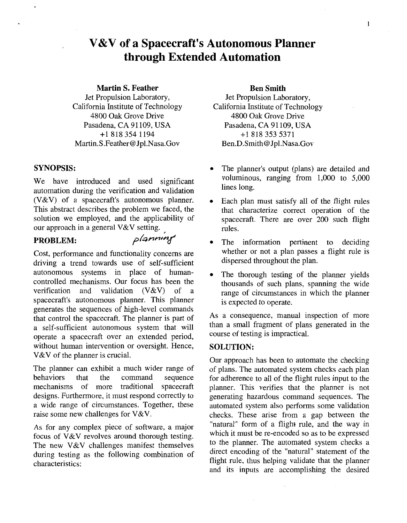# **V&V of a Spacecraft's Autonomous Planner through Extended Automation**

#### **Martin S. Feather**

Jet Propulsion Laboratory, California Institute of Technology 4800 *Oak* Grove Drive Pasadena, **CA** 91 109, **USA**  +18183541194 Martin.S.Feather[@ Jpl.Nasa.Gov](http://Jpl.Nasa.Gov)

## **SYNOPSIS:**

We have introduced and used significant automation during the verification and validation (V&V) of a spacecraft's autonomous planner. This abstract describes the problem we faced, the solution we employed, and the applicability of our approach in a general V&V setting.

# **PROBLEM:** *planning*

Cost, performance and functionality concerns are driving a trend towards use of self-sufficient autonomous systems in place of humancontrolled mechanisms. Our focus has been the verification and validation (V&V) of a spacecraft's autonomous planner. This planner generates the sequences of high-level commands that control the spacecraft. The planner is part of a self-sufficient autonomous system that will operate a spacecraft over an extended period, without human intervention or oversight. Hence, V&V of the planner is crucial.

The planner can exhibit a much wider range of<br>behaviors that the command sequence sequence mechanisms of more traditional spacecraft designs. Furthermore, it must respond correctly to a wide range of circumstances. Together, these raise some new challenges for V&V.

**As** for any complex piece of software, a major focus of V&V revolves around thorough testing. The new V&V challenges manifest themselves during testing as the following combination of characteristics:

### **Ben Smith**

Jet Propulsion Laboratory, California Institute of Technology 4800 *Oak* Grove Drive Pasadena, **CA** 91 109, **USA**  +18183535371 Ben.D.Smith[@ Jpl.Nasa.Gov](http://Jpl.Nasa.Gov) 

- *0*  The planner's output (plans) are detailed and voluminous, ranging from 1,000 to 5,000 lines long.
- *0*  Each plan must satisfy all of the flight rules that characterize correct operation of the spacecraft. There are over 200 such flight rules.
- *0*  The information pertinent to deciding whether or not a plan passes a flight rule is dispersed throughout the plan.
- *0*  The thorough testing of the planner yields thousands of such plans, spanning the wide range of circumstances in which the planner is expected to operate.

**As**  a consequence, manual inspection of more than a small-fragment of plans generated in the course of testing is impractical.

## **SOLUTION:**

Our approach has been to automate the checking of plans. The automated system checks each plan for adherence to all of the flight rules input to the planner. This verifies that the planner is not generating hazardous command sequences. The automated system also performs some validation checks. These arise from a gap between the "natural" form of a flight rule, and the way in which it must be re-encoded so as to be expressed to the planner. The automated system checks a direct encoding of the "natural" statement of the flight rule, thus helping validate that the planner and its inputs are accomplishing the desired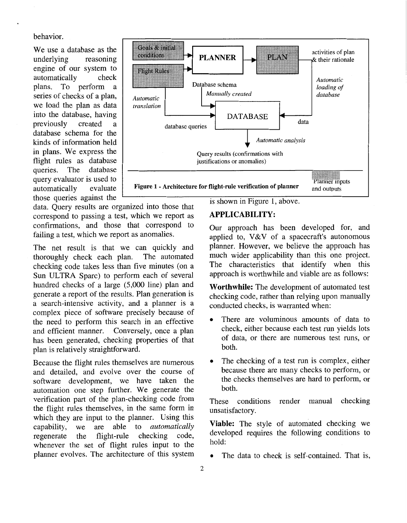behavior.

We use a database as the underlying reasoning underlying engine of our system to<br>automatically check automatically plans. To perform a series of checks of a plan, we load the plan as data into the database, having<br>previously created a previously created a database schema for the kinds of information held in plans. We express the flight rules as database queries. The database query evaluator is used to<br>automatically evaluate automatically those queries against the



data. Query results are organized into those that correspond to passing a test, which we report as confirmations, and those that correspond to failing a test, which we report as anomalies.

The net result is that we can quickly and thoroughly check each plan. The automated thoroughly check each plan. checking code takes less than five minutes (on a Sun ULTRA Sparc) to perform each of several hundred checks of a large (5,000 line) plan and generate a report of the results. Plan generation is a search-intensive activity, and a planner is a complex piece of software precisely because of the need to perform this search in an effective and efficient manner. Conversely, once a plan has been generated, checking properties of that plan is relatively straightforward.

Because the flight rules themselves are numerous and detailed, and evolve over the course of software development, we have taken the automation one step further. We generate the verification part of the plan-checking code from the flight rules themselves, in the same form in which they are input to the planner. Using this capability, we are able to *automatically* to *automatically* regenerate the flight-rule checking code, whenever the set of flight rules input to the planner evolves. The architecture of this system is shown in Figure 1, above.

# **APPLICABILITY:**

Our approach has been developed for, and applied to, V&V of a spacecraft's autonomous planner. However, we believe the approach has much wider applicability than this one project. The characteristics that identify when this approach is worthwhile and viable are as follows:

**Worthwhile:** The development of automated test checking code, rather than relying upon manually conducted checks, is warranted when:

- *0* There are voluminous amounts of data to check, either because each test run yields lots of data, or there are numerous test runs, or both.
- *0* The checking of a test run is complex, either because there are many checks to perform, or the checks themselves are hard to perform, or both.

These conditions render manual checking unsatisfactory.

**Viable:** The style of automated checking we developed requires the following conditions to hold:

The data to check is self-contained. That is,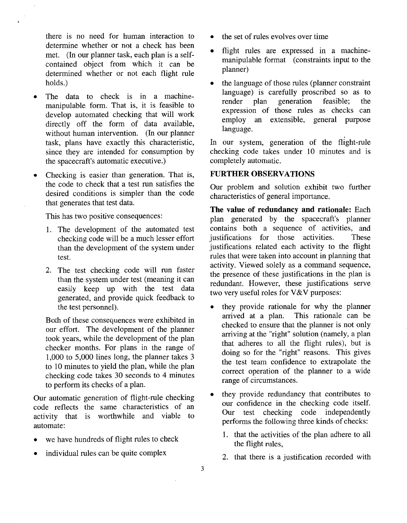there is no need for human interaction to determine whether or not a check has been met. (In our planner task, each plan is a selfcontained object from which it can be determined whether or not each flight rule holds.)

- The data to check is in a machinemanipulable form. That is, it is feasible to develop automated checking that will work directly off the form of data available, without human intervention. (In our planner task, plans have exactly this characteristic, since they are intended for consumption by the spacecraft's automatic executive.)
- Checking is easier than generation. That is, the code to check that a test run satisfies the desired conditions is simpler than the code that generates that test data.

This has two positive consequences:

- 1. The development of the automated test checking code will be a much lesser effort than the development of the system under test.
- **2.** The test checking code will run faster than the system under test (meaning it can easily keep up with the test data generated, and provide quick feedback to the test personnel).

Both of these consequences were exhibited in our effort. The development of the planner took years, while the development of the plan checker months. For plans in the range of 1,000 to 5,000 lines long, the planner takes 3 to 10 minutes to yield the plan, while the plan checking code takes 30 seconds to 4 minutes to perform its checks of a plan.

Our automatic generation of flight-rule checking code reflects the same characteristics of an activity that is worthwhile and viable to automate:

- we have hundreds of flight rules to check
- individual rules can be quite complex
- the set of rules evolves over time
- flight rules are expressed in a machinemanipulable format (constraints input to the planner)
- $\bullet$ the language of those rules (planner constraint language) is carefully proscribed so as to render plan generation feasible; the generation expression of those rules as checks can employ an extensible, general purpose language.

In our system, generation of the flight-rule checking code takes under 10 minutes and is completely automatic.

## **FURTHER OBSERVATIONS**

Our problem and solution exhibit two further characteristics of general importance.

**The value of redundancy and rationale:** Each plan generated by the spacecraft's planner contains both a sequence of activities, and<br>institutions for those activities. These justifications for those activities. justifications related each activity to the flight rules that were taken into account in planning that activity. Viewed solely as a command sequence, the presence of these justifications in the plan is redundant. However, these justifications serve two very useful roles for V&V purposes:

- they provide rationale for why the planner arrived at a plan. This rationale can be This rationale can be checked to ensure that the planner is not only arriving at the "right" solution (namely, a plan that adheres to all the flight rules), but is doing so for the "right" reasons. This gives the test team confidence to extrapolate the correct operation of the planner to a wide range of circumstances.
- they provide redundancy that contributes to our confidence in the checking code itself. Our test checking code independently performs the following three kinds of checks:
	- 1. that the activities of the plan adhere to all the flight rules,
	- **2.** that there is a justification recorded with